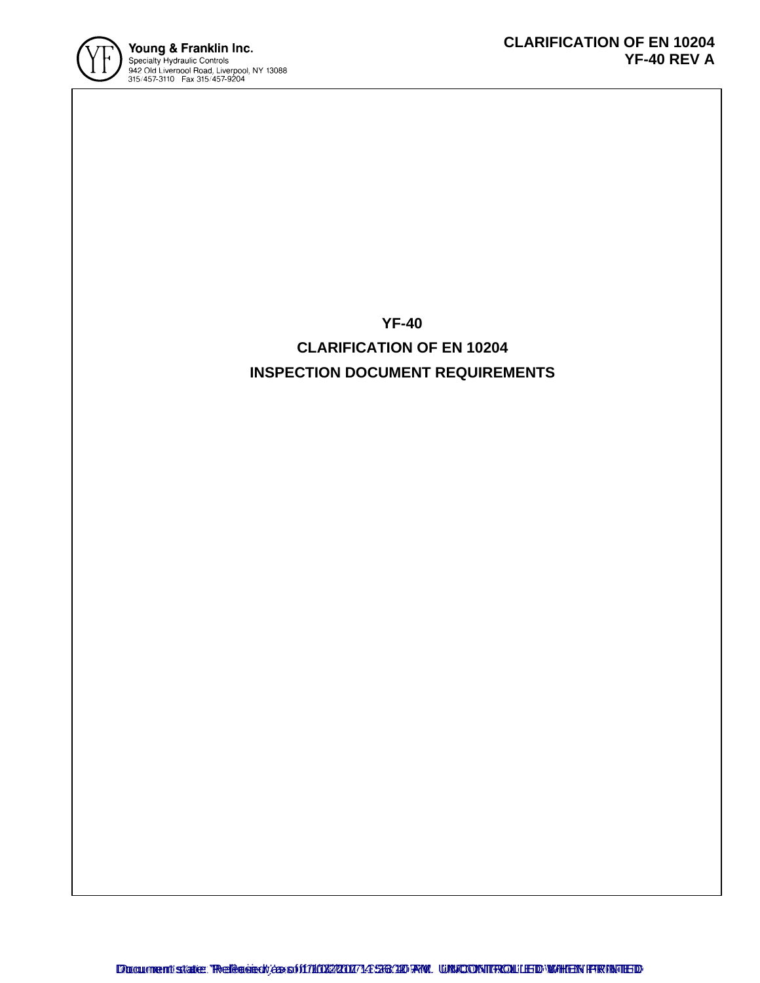

**YF-40 CLARIFICATION OF EN 10204 INSPECTION DOCUMENT REQUIREMENTS**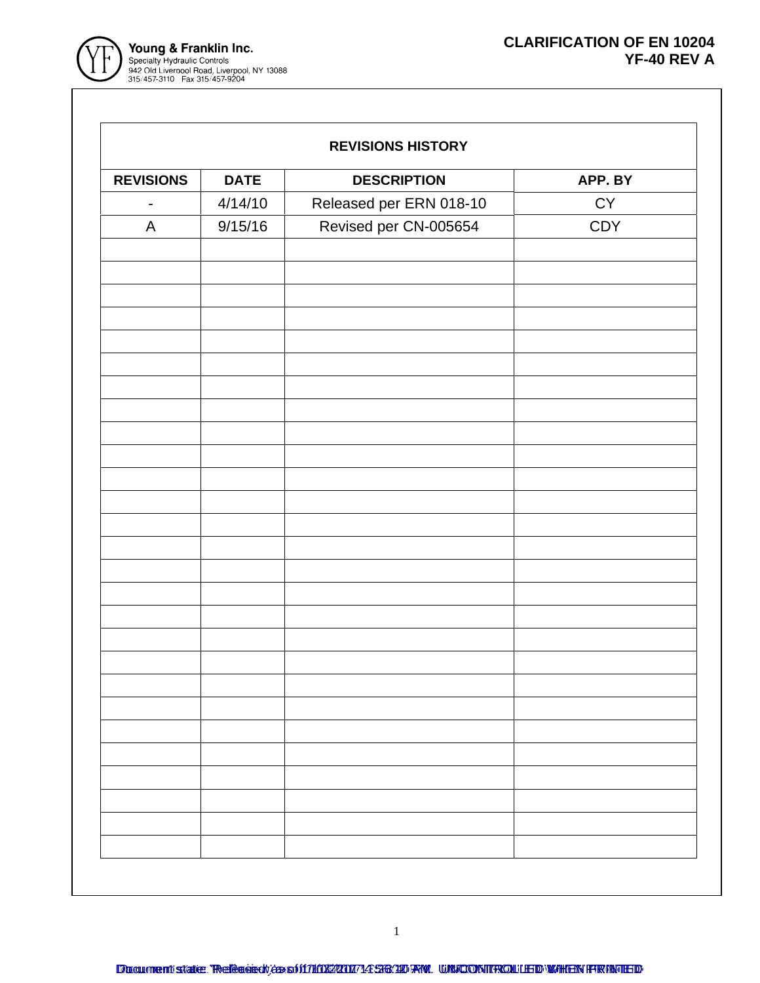



| <b>REVISIONS HISTORY</b> |  |
|--------------------------|--|
|--------------------------|--|

| <b>REVISIONS</b> | <b>DATE</b> | <b>DESCRIPTION</b>      | APP. BY    |
|------------------|-------------|-------------------------|------------|
| $\overline{a}$   | 4/14/10     | Released per ERN 018-10 | ${\sf CY}$ |
| A                | 9/15/16     | Revised per CN-005654   | CDY        |
|                  |             |                         |            |
|                  |             |                         |            |
|                  |             |                         |            |
|                  |             |                         |            |
|                  |             |                         |            |
|                  |             |                         |            |
|                  |             |                         |            |
|                  |             |                         |            |
|                  |             |                         |            |
|                  |             |                         |            |
|                  |             |                         |            |
|                  |             |                         |            |
|                  |             |                         |            |
|                  |             |                         |            |
|                  |             |                         |            |
|                  |             |                         |            |
|                  |             |                         |            |
|                  |             |                         |            |
|                  |             |                         |            |
|                  |             |                         |            |
|                  |             |                         |            |
|                  |             |                         |            |
|                  |             |                         |            |
|                  |             |                         |            |
|                  |             |                         |            |
|                  |             |                         |            |
|                  |             |                         |            |
|                  |             |                         |            |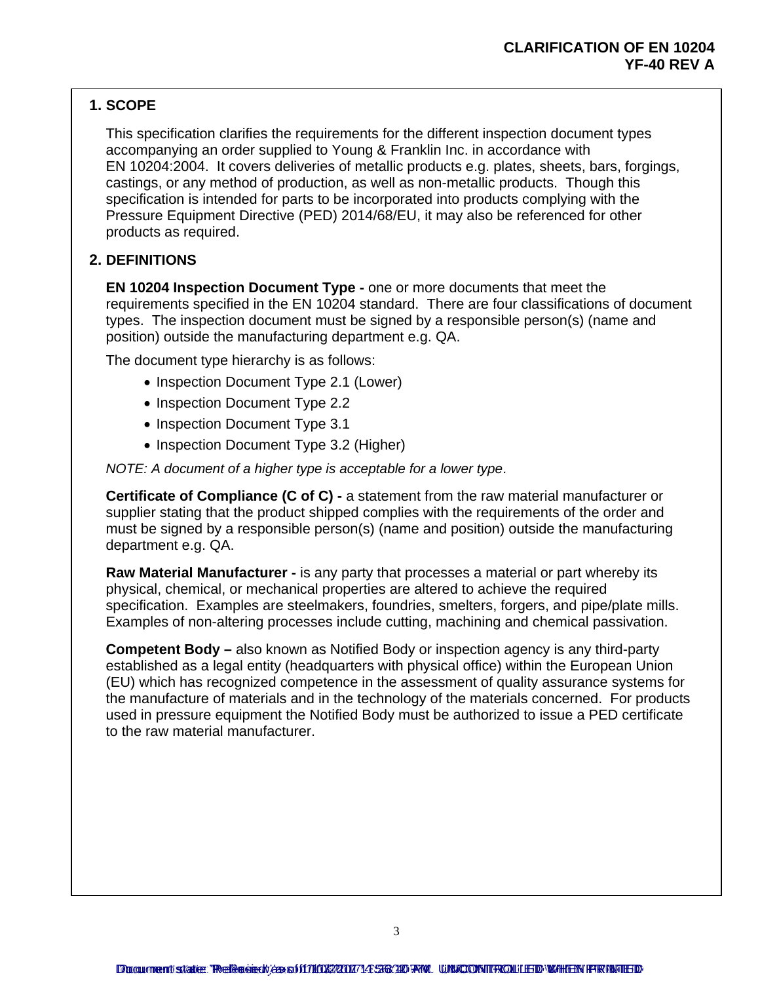## **1. SCOPE**

This specification clarifies the requirements for the different inspection document types accompanying an order supplied to Young & Franklin Inc. in accordance with EN 10204:2004. It covers deliveries of metallic products e.g. plates, sheets, bars, forgings, castings, or any method of production, as well as non-metallic products. Though this specification is intended for parts to be incorporated into products complying with the Pressure Equipment Directive (PED) 2014/68/EU, it may also be referenced for other products as required.

### **2. DEFINITIONS**

**EN 10204 Inspection Document Type -** one or more documents that meet the requirements specified in the EN 10204 standard. There are four classifications of document types. The inspection document must be signed by a responsible person(s) (name and position) outside the manufacturing department e.g. QA.

The document type hierarchy is as follows:

- Inspection Document Type 2.1 (Lower)
- Inspection Document Type 2.2
- Inspection Document Type 3.1
- Inspection Document Type 3.2 (Higher)

*NOTE: A document of a higher type is acceptable for a lower type*.

**Certificate of Compliance (C of C) -** a statement from the raw material manufacturer or supplier stating that the product shipped complies with the requirements of the order and must be signed by a responsible person(s) (name and position) outside the manufacturing department e.g. QA.

**Raw Material Manufacturer -** is any party that processes a material or part whereby its physical, chemical, or mechanical properties are altered to achieve the required specification. Examples are steelmakers, foundries, smelters, forgers, and pipe/plate mills. Examples of non-altering processes include cutting, machining and chemical passivation.

**Competent Body –** also known as Notified Body or inspection agency is any third-party established as a legal entity (headquarters with physical office) within the European Union (EU) which has recognized competence in the assessment of quality assurance systems for the manufacture of materials and in the technology of the materials concerned. For products used in pressure equipment the Notified Body must be authorized to issue a PED certificate to the raw material manufacturer.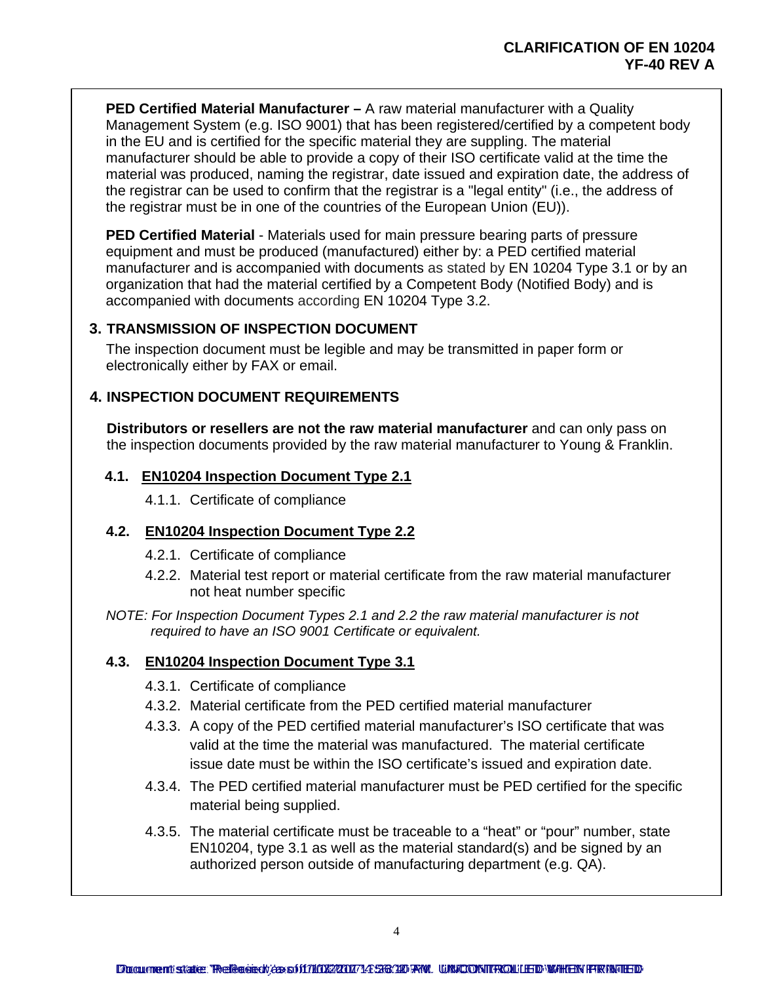**PED Certified Material Manufacturer - A raw material manufacturer with a Quality** Management System (e.g. ISO 9001) that has been registered/certified by a competent body in the EU and is certified for the specific material they are suppling. The material manufacturer should be able to provide a copy of their ISO certificate valid at the time the material was produced, naming the registrar, date issued and expiration date, the address of the registrar can be used to confirm that the registrar is a "legal entity" (i.e., the address of the registrar must be in one of the countries of the European Union (EU)).

**PED Certified Material** - Materials used for main pressure bearing parts of pressure equipment and must be produced (manufactured) either by: a PED certified material manufacturer and is accompanied with documents as stated by EN 10204 Type 3.1 or by an organization that had the material certified by a Competent Body (Notified Body) and is accompanied with documents according EN 10204 Type 3.2.

#### **3. TRANSMISSION OF INSPECTION DOCUMENT**

The inspection document must be legible and may be transmitted in paper form or electronically either by FAX or email.

#### **4. INSPECTION DOCUMENT REQUIREMENTS**

**Distributors or resellers are not the raw material manufacturer** and can only pass on the inspection documents provided by the raw material manufacturer to Young & Franklin.

#### **4.1. EN10204 Inspection Document Type 2.1**

4.1.1. Certificate of compliance

#### **4.2. EN10204 Inspection Document Type 2.2**

- 4.2.1. Certificate of compliance
- 4.2.2. Material test report or material certificate from the raw material manufacturer not heat number specific
- *NOTE: For Inspection Document Types 2.1 and 2.2 the raw material manufacturer is not required to have an ISO 9001 Certificate or equivalent.*

#### **4.3. EN10204 Inspection Document Type 3.1**

- 4.3.1. Certificate of compliance
- 4.3.2. Material certificate from the PED certified material manufacturer
- 4.3.3. A copy of the PED certified material manufacturer's ISO certificate that was valid at the time the material was manufactured. The material certificate issue date must be within the ISO certificate's issued and expiration date.
- 4.3.4. The PED certified material manufacturer must be PED certified for the specific material being supplied.
- 4.3.5. The material certificate must be traceable to a "heat" or "pour" number, state EN10204, type 3.1 as well as the material standard(s) and be signed by an authorized person outside of manufacturing department (e.g. QA).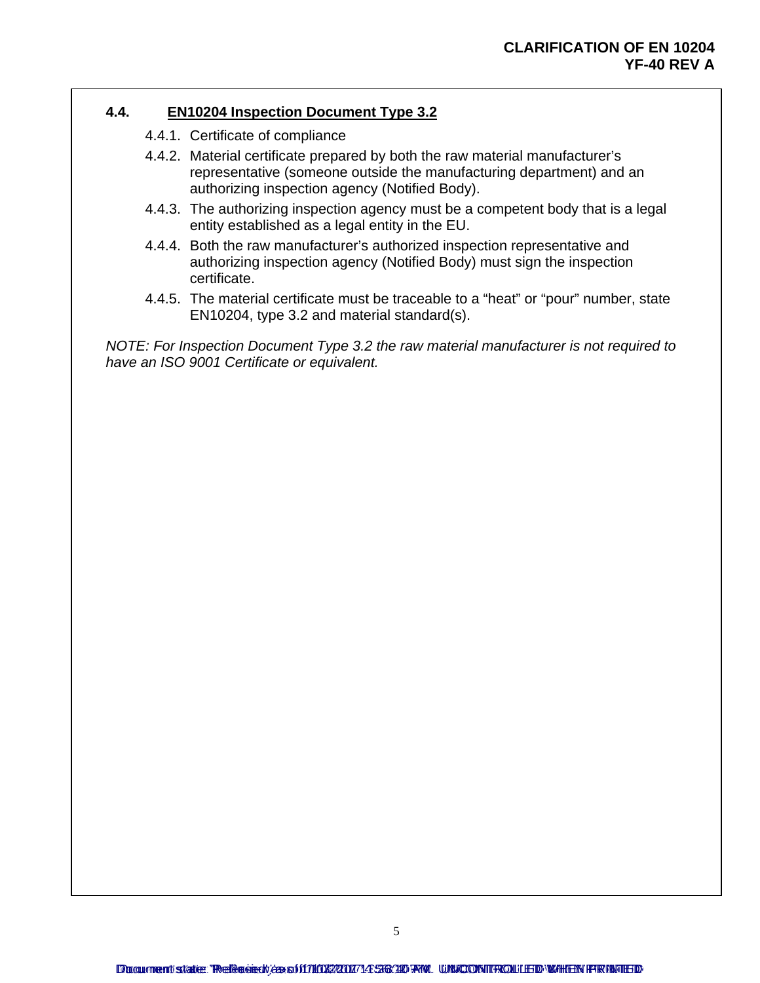#### **4.4. EN10204 Inspection Document Type 3.2**

- 4.4.1. Certificate of compliance
- 4.4.2. Material certificate prepared by both the raw material manufacturer's representative (someone outside the manufacturing department) and an authorizing inspection agency (Notified Body).
- 4.4.3. The authorizing inspection agency must be a competent body that is a legal entity established as a legal entity in the EU.
- 4.4.4. Both the raw manufacturer's authorized inspection representative and authorizing inspection agency (Notified Body) must sign the inspection certificate.
- 4.4.5. The material certificate must be traceable to a "heat" or "pour" number, state EN10204, type 3.2 and material standard(s).

*NOTE: For Inspection Document Type 3.2 the raw material manufacturer is not required to have an ISO 9001 Certificate or equivalent.*